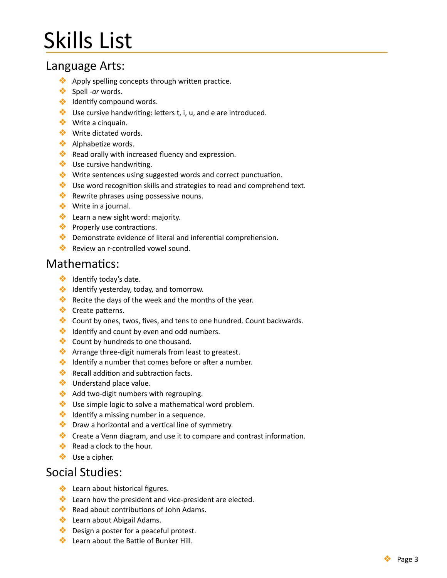# **Skills List**

## Language Arts:

- $\bullet\bullet$  Apply spelling concepts through written practice.
- ❖ Spell -*ar* words.
- **❖** Identify compound words.
- $\bullet\bullet$  Use cursive handwriting: letters t, i, u, and e are introduced.
- **❖** Write a cinquain.
- **❖** Write dictated words.
- **❖** Alphabetize words.
- $\bullet\bullet$  Read orally with increased fluency and expression.
- ◆ Use cursive handwriting.
- ◆ Write sentences using suggested words and correct punctuation.
- $\bullet\bullet$  Use word recognition skills and strategies to read and comprehend text.
- $\bullet\bullet$  Rewrite phrases using possessive nouns.
- $\bullet$  Write in a journal.
- $\bullet\bullet$  Learn a new sight word: majority.
- $\bullet\bullet$  Properly use contractions.
- $\bullet$  Demonstrate evidence of literal and inferential comprehension.
- **❖** Review an r-controlled vowel sound.

### Mathematics:

- $\bullet$  Identify today's date.
- ◆ Identify yesterday, today, and tomorrow.
- $\bullet\bullet$  Recite the days of the week and the months of the year.
- ❖ Create patterns.
- $\dots$  Count by ones, twos, fives, and tens to one hundred. Count backwards.
- $\bullet\bullet$  Identify and count by even and odd numbers.
- **❖** Count by hundreds to one thousand.
- $\bullet\bullet$  Arrange three-digit numerals from least to greatest.
- $\bullet$  Identify a number that comes before or after a number.
- $\bullet\bullet$  Recall addition and subtraction facts.
- **❖** Understand place value.
- ◆ Add two-digit numbers with regrouping.
- $\bullet\bullet$  Use simple logic to solve a mathematical word problem.
- $\bullet\bullet$  Identify a missing number in a sequence.
- $\bullet\bullet$  Draw a horizontal and a vertical line of symmetry.
- $\bullet\bullet$  Create a Venn diagram, and use it to compare and contrast information.
- $\triangle$  Read a clock to the hour.
- ❖ Use a cipher.

## Social Studies:

- ❖ Learn about historical figures.
- $\bullet$  Learn how the president and vice-president are elected.
- $\bullet\bullet$  Read about contributions of John Adams.
- ◆ Learn about Abigail Adams.
- $\bullet\bullet$  Design a poster for a peaceful protest.
- **❖** Learn about the Battle of Bunker Hill.